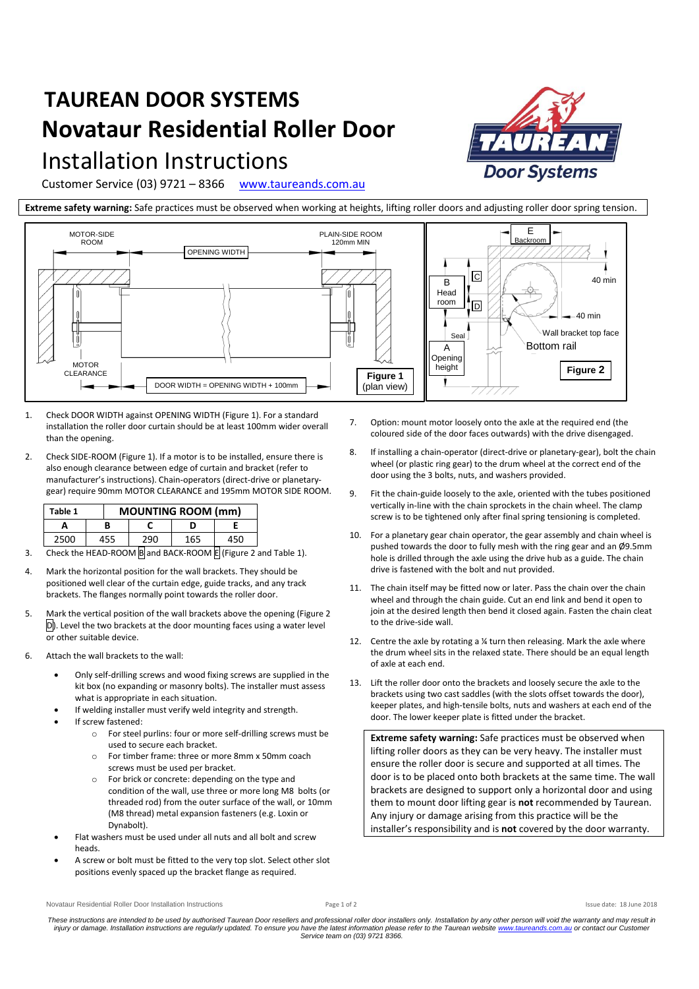## **TAUREAN DOOR SYSTEMS Novataur Residential Roller Door**

## Installation Instructions

Customer Service (03) 9721 – 8366 [www.taureands.com.au](http://www.taureands.com.au/)

**Extreme safety warning:** Safe practices must be observed when working at heights, lifting roller doors and adjusting roller door spring tension.



- 1. Check DOOR WIDTH against OPENING WIDTH (Figure 1). For a standard installation the roller door curtain should be at least 100mm wider overall than the opening.
- 2. Check SIDE-ROOM (Figure 1). If a motor is to be installed, ensure there is also enough clearance between edge of curtain and bracket (refer to manufacturer's instructions). Chain-operators (direct-drive or planetarygear) require 90mm MOTOR CLEARANCE and 195mm MOTOR SIDE ROOM.

| Table 1                                    |  | <b>MOUNTING ROOM (mm)</b> |     |     |     |
|--------------------------------------------|--|---------------------------|-----|-----|-----|
|                                            |  |                           |     |     |     |
| 2500                                       |  | 455                       | 290 | 165 | 450 |
| Check the HEAD BOOM Bord BACK BOOM FUELOUS |  |                           |     |     |     |

- 3. Check the HEAD-ROOM  $\overline{B}$  and BACK-ROOM  $\overline{E}$  (Figure 2 and Table 1).
- 4. Mark the horizontal position for the wall brackets. They should be positioned well clear of the curtain edge, guide tracks, and any track brackets. The flanges normally point towards the roller door.
- 5. Mark the vertical position of the wall brackets above the opening (Figure 2 D). Level the two brackets at the door mounting faces using a water level or other suitable device.
- 6. Attach the wall brackets to the wall:
	- Only self-drilling screws and wood fixing screws are supplied in the kit box (no expanding or masonry bolts). The installer must assess what is appropriate in each situation.
	- If welding installer must verify weld integrity and strength.
	- If screw fastened:
		- o For steel purlins: four or more self-drilling screws must be used to secure each bracket.
		- o For timber frame: three or more 8mm x 50mm coach screws must be used per bracket.
		- o For brick or concrete: depending on the type and condition of the wall, use three or more long M8 bolts (or threaded rod) from the outer surface of the wall, or 10mm (M8 thread) metal expansion fasteners (e.g. Loxin or Dynabolt).
	- Flat washers must be used under all nuts and all bolt and screw heads.
	- A screw or bolt must be fitted to the very top slot. Select other slot positions evenly spaced up the bracket flange as required.
- 7. Option: mount motor loosely onto the axle at the required end (the coloured side of the door faces outwards) with the drive disengaged.
- 8. If installing a chain-operator (direct-drive or planetary-gear), bolt the chain wheel (or plastic ring gear) to the drum wheel at the correct end of the door using the 3 bolts, nuts, and washers provided.
- 9. Fit the chain-guide loosely to the axle, oriented with the tubes positioned vertically in-line with the chain sprockets in the chain wheel. The clamp screw is to be tightened only after final spring tensioning is completed.
- 10. For a planetary gear chain operator, the gear assembly and chain wheel is pushed towards the door to fully mesh with the ring gear and an Ø9.5mm hole is drilled through the axle using the drive hub as a guide. The chain drive is fastened with the bolt and nut provided.
- 11. The chain itself may be fitted now or later. Pass the chain over the chain wheel and through the chain guide. Cut an end link and bend it open to join at the desired length then bend it closed again. Fasten the chain cleat to the drive-side wall.
- 12. Centre the axle by rotating a ¼ turn then releasing. Mark the axle where the drum wheel sits in the relaxed state. There should be an equal length of axle at each end.
- 13. Lift the roller door onto the brackets and loosely secure the axle to the brackets using two cast saddles (with the slots offset towards the door), keeper plates, and high-tensile bolts, nuts and washers at each end of the door. The lower keeper plate is fitted under the bracket.

**Extreme safety warning:** Safe practices must be observed when lifting roller doors as they can be very heavy. The installer must ensure the roller door is secure and supported at all times. The door is to be placed onto both brackets at the same time. The wall brackets are designed to support only a horizontal door and using them to mount door lifting gear is **not** recommended by Taurean. Any injury or damage arising from this practice will be the installer's responsibility and is **not** covered by the door warranty.

Novataur Residential Roller Door Installation Instructions **Page 1** of 2 Issue date: 18 June 2018

*These instructions are intended to be used by authorised Taurean Door resellers and professional roller door installers only. Installation by any other person will void the warranty and may result in*  injury or damage. Installation instructions are regularly updated. To ensure you have the latest information please refer to the Taurean websit[e www.taureands.com.au](http://www.taureands.com.au/) or contact our Customer<br>Service team on (03) 9721 8366.